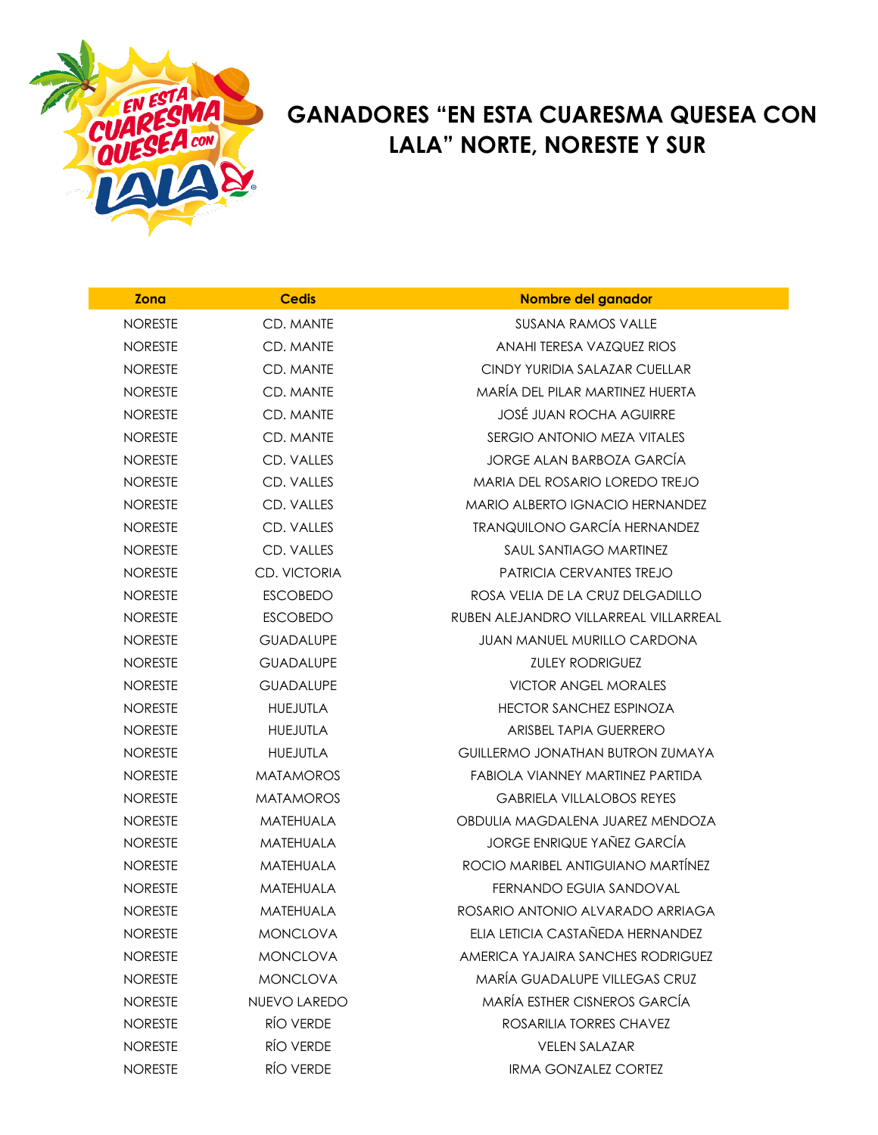

## **GANADORES "EN ESTA CUARESMA QUESEA CON LALA" NORTE, NORESTE Y SUR**

| <b>Zona</b>    | <b>Cedis</b>        | Nombre del ganador                      |
|----------------|---------------------|-----------------------------------------|
| <b>NORESTE</b> | CD. MANTE           | <b>SUSANA RAMOS VALLE</b>               |
| <b>NORESTE</b> | CD. MANTE           | ANAHI TERESA VAZQUEZ RIOS               |
| <b>NORESTE</b> | CD. MANTE           | CINDY YURIDIA SALAZAR CUELLAR           |
| <b>NORESTE</b> | CD. MANTE           | MARÍA DEL PILAR MARTINEZ HUERTA         |
| <b>NORESTE</b> | CD. MANTE           | <b>JOSÉ JUAN ROCHA AGUIRRE</b>          |
| <b>NORESTE</b> | CD. MANTE           | SERGIO ANTONIO MEZA VITALES             |
| <b>NORESTE</b> | CD. VALLES          | JORGE ALAN BARBOZA GARCÍA               |
| <b>NORESTE</b> | CD. VALLES          | MARIA DEL ROSARIO LOREDO TREJO          |
| <b>NORESTE</b> | CD. VALLES          | MARIO ALBERTO IGNACIO HERNANDEZ         |
| <b>NORESTE</b> | CD. VALLES          | <b>TRANQUILONO GARCÍA HERNANDEZ</b>     |
| <b>NORESTE</b> | CD. VALLES          | SAUL SANTIAGO MARTINEZ                  |
| <b>NORESTE</b> | <b>CD. VICTORIA</b> | PATRICIA CERVANTES TREJO                |
| <b>NORESTE</b> | <b>ESCOBEDO</b>     | ROSA VELIA DE LA CRUZ DELGADILLO        |
| <b>NORESTE</b> | <b>ESCOBEDO</b>     | RUBEN ALEJANDRO VILLARREAL VILLARREAL   |
| <b>NORESTE</b> | <b>GUADALUPE</b>    | <b>JUAN MANUEL MURILLO CARDONA</b>      |
| <b>NORESTE</b> | <b>GUADALUPE</b>    | <b>ZULEY RODRIGUEZ</b>                  |
| <b>NORESTE</b> | <b>GUADALUPE</b>    | <b>VICTOR ANGEL MORALES</b>             |
| <b>NORESTE</b> | <b>HUEJUTLA</b>     | <b>HECTOR SANCHEZ ESPINOZA</b>          |
| <b>NORESTE</b> | <b>HUEJUTLA</b>     | ARISBEL TAPIA GUERRERO                  |
| <b>NORESTE</b> | <b>HUEJUTLA</b>     | <b>GUILLERMO JONATHAN BUTRON ZUMAYA</b> |
| <b>NORESTE</b> | <b>MATAMOROS</b>    | FABIOLA VIANNEY MARTINEZ PARTIDA        |
| <b>NORESTE</b> | <b>MATAMOROS</b>    | <b>GABRIELA VILLALOBOS REYES</b>        |
| <b>NORESTE</b> | <b>MATEHUALA</b>    | OBDULIA MAGDALENA JUAREZ MENDOZA        |
| <b>NORESTE</b> | MATEHUALA           | JORGE ENRIQUE YAÑEZ GARCÍA              |
| <b>NORESTE</b> | <b>MATEHUALA</b>    | ROCIO MARIBEL ANTIGUIANO MARTÍNEZ       |
| <b>NORESTE</b> | <b>MATEHUALA</b>    | FERNANDO EGUIA SANDOVAL                 |
| <b>NORESTE</b> | MATEHUALA           | ROSARIO ANTONIO ALVARADO ARRIAGA        |
| <b>NORESTE</b> | <b>MONCLOVA</b>     | FIJA I FTICIA CASTAÑEDA HERNANDEZ       |
| <b>NORESTE</b> | <b>MONCLOVA</b>     | AMERICA YAJAIRA SANCHES RODRIGUEZ       |
| <b>NORESTE</b> | <b>MONCLOVA</b>     | <b>MARÍA GUADALUPE VILLEGAS CRUZ</b>    |
| <b>NORESTE</b> | NUEVO LAREDO        | MARÍA ESTHER CISNEROS GARCÍA            |
| <b>NORESTE</b> | RÍO VERDE           | ROSARILIA TORRES CHAVEZ                 |
| <b>NORESTE</b> | <b>RÍO VERDE</b>    | <b>VELEN SALAZAR</b>                    |
| <b>NORESTE</b> | RÍO VERDE           | <b>IRMA GONZALEZ CORTEZ</b>             |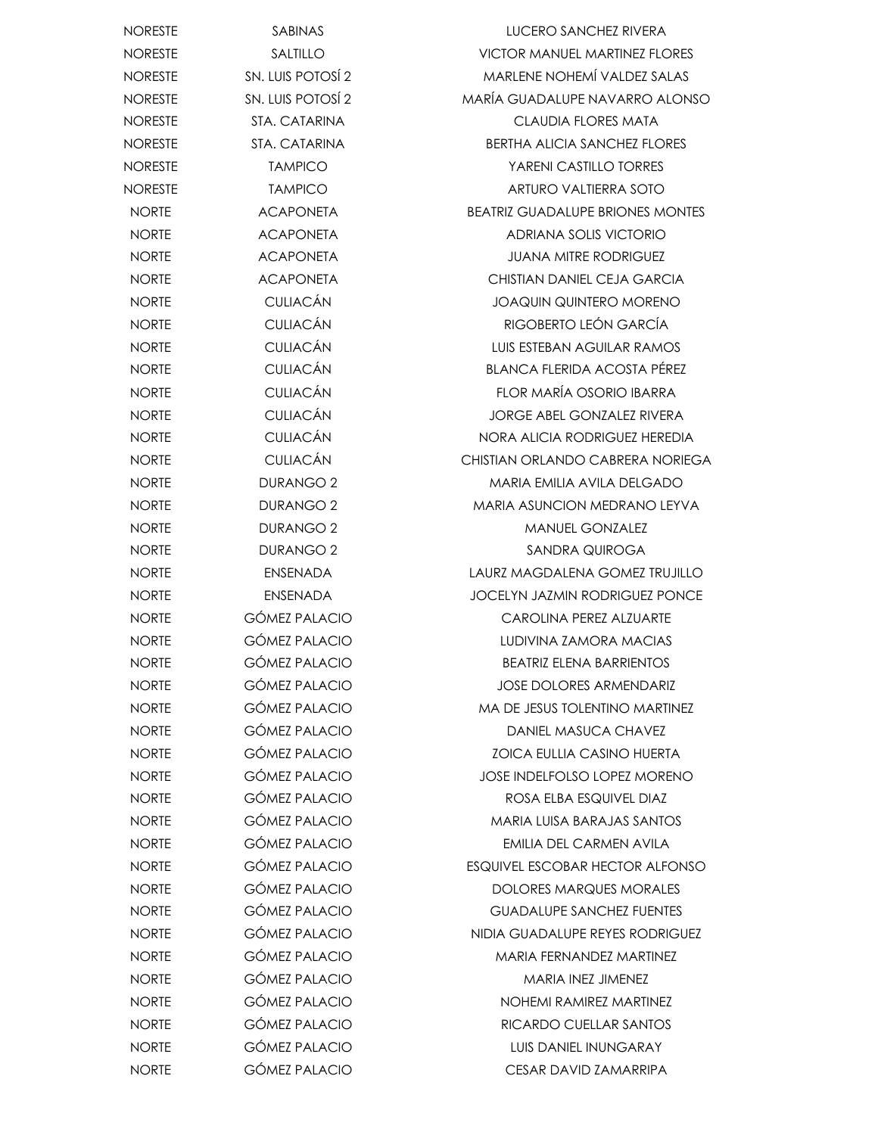| <b>NORESTE</b> | <b>SABINAS</b>       | LUCERO SANCHEZ RIVERA                   |
|----------------|----------------------|-----------------------------------------|
| <b>NORESTE</b> | SALTILLO             | <b>VICTOR MANUEL MARTINEZ FLORES</b>    |
| <b>NORESTE</b> | SN. LUIS POTOSÍ 2    | <b>MARLENE NOHEMÍ VALDEZ SALAS</b>      |
| <b>NORESTE</b> | SN. LUIS POTOSÍ 2    | MARÍA GUADALUPE NAVARRO ALONSO          |
| <b>NORESTE</b> | STA. CATARINA        | <b>CLAUDIA FLORES MATA</b>              |
| <b>NORESTE</b> | STA. CATARINA        | <b>BERTHA ALICIA SANCHEZ FLORES</b>     |
| <b>NORESTE</b> | <b>TAMPICO</b>       | <b>YARENI CASTILLO TORRES</b>           |
| <b>NORESTE</b> | <b>TAMPICO</b>       | ARTURO VALTIERRA SOTO                   |
| <b>NORTE</b>   | <b>ACAPONETA</b>     | <b>BEATRIZ GUADALUPE BRIONES MONTES</b> |
| <b>NORTE</b>   | <b>ACAPONETA</b>     | <b>ADRIANA SOLIS VICTORIO</b>           |
| <b>NORTE</b>   | <b>ACAPONETA</b>     | <b>JUANA MITRE RODRIGUEZ</b>            |
| <b>NORTE</b>   | <b>ACAPONETA</b>     | CHISTIAN DANIEL CEJA GARCIA             |
| <b>NORTE</b>   | <b>CULIACÁN</b>      | <b>JOAQUIN QUINTERO MORENO</b>          |
| <b>NORTE</b>   | <b>CULIACÁN</b>      | RIGOBERTO LEÓN GARCÍA                   |
| <b>NORTE</b>   | <b>CULIACÁN</b>      | LUIS ESTEBAN AGUILAR RAMOS              |
| <b>NORTE</b>   | <b>CULIACÁN</b>      | <b>BLANCA FLERIDA ACOSTA PÉREZ</b>      |
| <b>NORTE</b>   | <b>CULIACÁN</b>      | FLOR MARÍA OSORIO IBARRA                |
| <b>NORTE</b>   | <b>CULIACÁN</b>      | <b>JORGE ABEL GONZALEZ RIVERA</b>       |
| <b>NORTE</b>   | <b>CULIACÁN</b>      | NORA ALICIA RODRIGUEZ HEREDIA           |
| <b>NORTE</b>   | <b>CULIACÁN</b>      | CHISTIAN ORLANDO CABRERA NORIEGA        |
| <b>NORTE</b>   | <b>DURANGO 2</b>     | MARIA EMILIA AVILA DELGADO              |
| <b>NORTE</b>   | <b>DURANGO 2</b>     | MARIA ASUNCION MEDRANO LEYVA            |
| <b>NORTE</b>   | <b>DURANGO 2</b>     | <b>MANUEL GONZALEZ</b>                  |
| <b>NORTE</b>   | <b>DURANGO 2</b>     | SANDRA QUIROGA                          |
| <b>NORTE</b>   | <b>ENSENADA</b>      | LAURZ MAGDALENA GOMEZ TRUJILLO          |
| <b>NORTE</b>   | <b>ENSENADA</b>      | <b>JOCELYN JAZMIN RODRIGUEZ PONCE</b>   |
| <b>NORTE</b>   | <b>GÓMEZ PALACIO</b> | <b>CAROLINA PEREZ ALZUARTE</b>          |
| <b>NORTE</b>   | <b>GÓMEZ PALACIO</b> | LUDIVINA ZAMORA MACIAS                  |
| <b>NORTE</b>   | <b>GÓMEZ PALACIO</b> | <b>BEATRIZ ELENA BARRIENTOS</b>         |
| <b>NORTE</b>   | GÓMEZ PALACIO        | JOSE DOLORES ARMENDARIZ                 |
| <b>NORTE</b>   | <b>GÓMEZ PALACIO</b> | <b>MA DE JESUS TOLENTINO MARTINEZ</b>   |
| <b>NORTE</b>   | <b>GÓMEZ PALACIO</b> | DANIEL MASUCA CHAVEZ                    |
| <b>NORTE</b>   | <b>GÓMEZ PALACIO</b> | <b>ZOICA EULLIA CASINO HUERTA</b>       |
| <b>NORTE</b>   | <b>GÓMEZ PALACIO</b> | <b>JOSE INDELFOLSO LOPEZ MORENO</b>     |
| <b>NORTE</b>   | <b>GÓMEZ PALACIO</b> | ROSA ELBA ESQUIVEL DIAZ                 |
| <b>NORTE</b>   | <b>GÓMEZ PALACIO</b> | <b>MARIA LUISA BARAJAS SANTOS</b>       |
| <b>NORTE</b>   | <b>GÓMEZ PALACIO</b> | EMILIA DEL CARMEN AVILA                 |
| <b>NORTE</b>   | <b>GÓMEZ PALACIO</b> | ESQUIVEL ESCOBAR HECTOR ALFONSO         |
| <b>NORTE</b>   | GÓMEZ PALACIO        | DOLORES MARQUES MORALES                 |
| <b>NORTE</b>   | <b>GÓMEZ PALACIO</b> | <b>GUADALUPE SANCHEZ FUENTES</b>        |
| <b>NORTE</b>   | <b>GÓMEZ PALACIO</b> | NIDIA GUADALUPE REYES RODRIGUEZ         |
| <b>NORTE</b>   | <b>GÓMEZ PALACIO</b> | MARIA FERNANDEZ MARTINEZ                |
| <b>NORTE</b>   | <b>GÓMEZ PALACIO</b> | MARIA INEZ JIMENEZ                      |
| <b>NORTE</b>   | <b>GÓMEZ PALACIO</b> | NOHEMI RAMIREZ MARTINEZ                 |
| <b>NORTE</b>   | <b>GÓMEZ PALACIO</b> | RICARDO CUELLAR SANTOS                  |
| <b>NORTE</b>   | <b>GÓMEZ PALACIO</b> | LUIS DANIEL INUNGARAY                   |
| <b>NORTE</b>   | <b>GÓMEZ PALACIO</b> | CESAR DAVID ZAMARRIPA                   |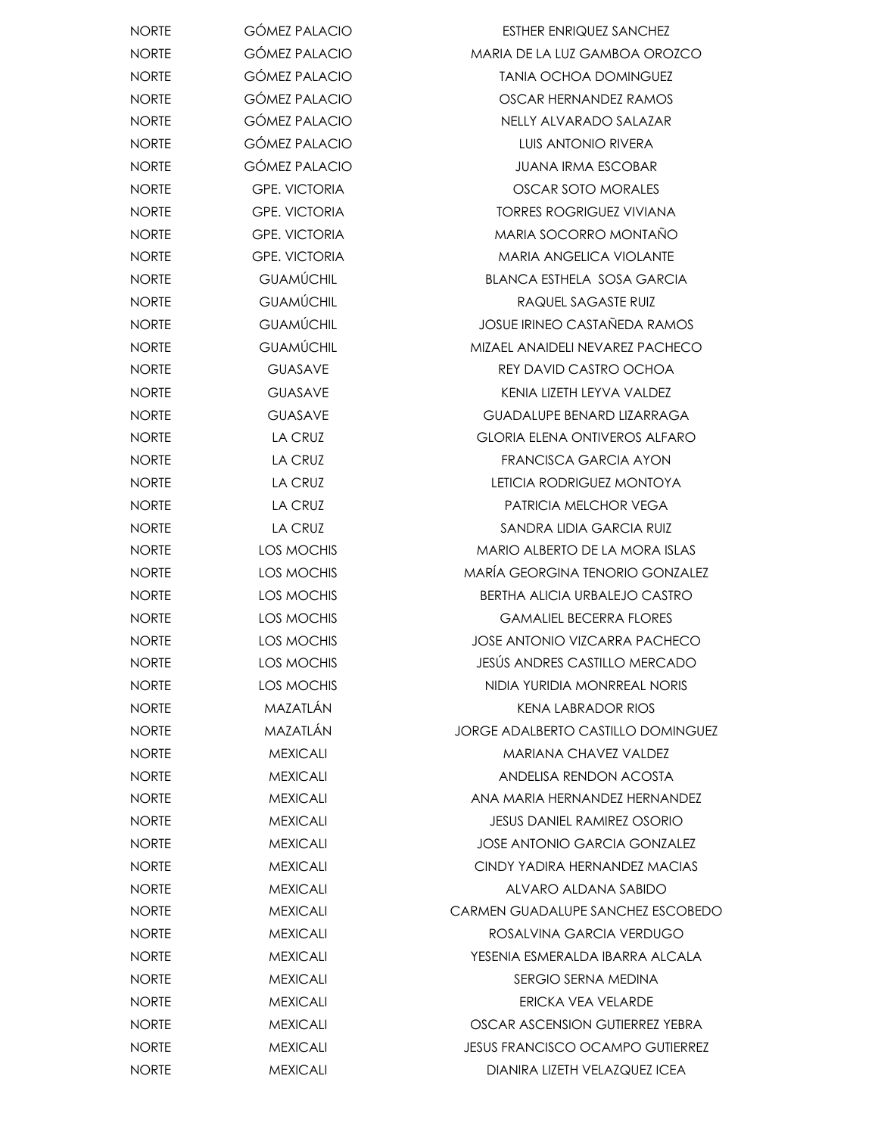| <b>NORTE</b> | <b>GÓMEZ PALACIO</b> | <b>ESTHER ENRIQUEZ SANCHEZ</b>            |
|--------------|----------------------|-------------------------------------------|
| <b>NORTE</b> | <b>GÓMEZ PALACIO</b> | MARIA DE LA LUZ GAMBOA OROZCO             |
| <b>NORTE</b> | GÓMEZ PALACIO        | <b>TANIA OCHOA DOMINGUEZ</b>              |
| <b>NORTE</b> | <b>GÓMEZ PALACIO</b> | OSCAR HERNANDEZ RAMOS                     |
| <b>NORTE</b> | <b>GÓMEZ PALACIO</b> | NELLY ALVARADO SALAZAR                    |
| <b>NORTE</b> | GÓMEZ PALACIO        | <b>LUIS ANTONIO RIVERA</b>                |
| <b>NORTE</b> | <b>GÓMEZ PALACIO</b> | <b>JUANA IRMA ESCOBAR</b>                 |
| <b>NORTE</b> | <b>GPE. VICTORIA</b> | OSCAR SOTO MORALES                        |
| <b>NORTE</b> | <b>GPE. VICTORIA</b> | <b>TORRES ROGRIGUEZ VIVIANA</b>           |
| <b>NORTE</b> | <b>GPE. VICTORIA</b> | MARIA SOCORRO MONTAÑO                     |
| <b>NORTE</b> | <b>GPE. VICTORIA</b> | <b>MARIA ANGELICA VIOLANTE</b>            |
| <b>NORTE</b> | <b>GUAMÚCHIL</b>     | <b>BLANCA ESTHELA SOSA GARCIA</b>         |
| <b>NORTE</b> | <b>GUAMÚCHIL</b>     | RAQUEL SAGASTE RUIZ                       |
| <b>NORTE</b> | <b>GUAMÚCHIL</b>     | <b>JOSUE IRINEO CASTAÑEDA RAMOS</b>       |
| <b>NORTE</b> | <b>GUAMÚCHIL</b>     | MIZAEL ANAIDELI NEVAREZ PACHECO           |
| <b>NORTE</b> | <b>GUASAVE</b>       | REY DAVID CASTRO OCHOA                    |
| <b>NORTE</b> | <b>GUASAVE</b>       | KENIA LIZETH LEYVA VALDEZ                 |
| <b>NORTE</b> | <b>GUASAVE</b>       | <b>GUADALUPE BENARD LIZARRAGA</b>         |
| <b>NORTE</b> | <b>LA CRUZ</b>       | <b>GLORIA ELENA ONTIVEROS ALFARO</b>      |
| <b>NORTE</b> | LA CRUZ              | FRANCISCA GARCIA AYON                     |
| <b>NORTE</b> | LA CRUZ              | LETICIA RODRIGUEZ MONTOYA                 |
| <b>NORTE</b> | LA CRUZ              | PATRICIA MELCHOR VEGA                     |
| <b>NORTE</b> | LA CRUZ              | SANDRA LIDIA GARCIA RUIZ                  |
| <b>NORTE</b> | LOS MOCHIS           | MARIO ALBERTO DE LA MORA ISLAS            |
| <b>NORTE</b> | LOS MOCHIS           | MARÍA GEORGINA TENORIO GONZALEZ           |
| <b>NORTE</b> | LOS MOCHIS           | <b>BERTHA ALICIA URBALEJO CASTRO</b>      |
| <b>NORTE</b> | LOS MOCHIS           | <b>GAMALIEL BECERRA FLORES</b>            |
| <b>NORTE</b> | LOS MOCHIS           | <b>JOSE ANTONIO VIZCARRA PACHECO</b>      |
| <b>NORTE</b> | LOS MOCHIS           | JESÚS ANDRES CASTILLO MERCADO             |
| <b>NORTE</b> | LOS MOCHIS           | NIDIA YURIDIA MONRREAL NORIS              |
| <b>NORTE</b> | MAZATLÁN             | KENA LABRADOR RIOS                        |
| <b>NORTE</b> | MAZATLÁN             | <b>JORGE ADALBERTO CASTILLO DOMINGUEZ</b> |
| <b>NORTE</b> | <b>MEXICALI</b>      | MARIANA CHAVEZ VALDEZ                     |
| <b>NORTE</b> | <b>MEXICALI</b>      | ANDELISA RENDON ACOSTA                    |
| <b>NORTE</b> | <b>MEXICALI</b>      | ANA MARIA HERNANDEZ HERNANDEZ             |
| <b>NORTE</b> | <b>MEXICALI</b>      | <b>JESUS DANIEL RAMIREZ OSORIO</b>        |
| <b>NORTE</b> | <b>MEXICALI</b>      | <b>JOSE ANTONIO GARCIA GONZALEZ</b>       |
| <b>NORTE</b> | <b>MEXICALI</b>      | CINDY YADIRA HERNANDEZ MACIAS             |
| <b>NORTE</b> | <b>MEXICALI</b>      | ALVARO ALDANA SABIDO                      |
| <b>NORTE</b> | <b>MEXICALI</b>      | CARMEN GUADALUPE SANCHEZ ESCOBEDO         |
| <b>NORTE</b> | <b>MEXICALI</b>      | ROSALVINA GARCIA VERDUGO                  |
| <b>NORTE</b> | <b>MEXICALI</b>      | YESENIA ESMERALDA IBARRA ALCALA           |
| <b>NORTE</b> | <b>MEXICALI</b>      | SERGIO SERNA MEDINA                       |
| <b>NORTE</b> | <b>MEXICALI</b>      | ERICKA VEA VELARDE                        |
| <b>NORTE</b> | <b>MEXICALI</b>      | OSCAR ASCENSION GUTIERREZ YEBRA           |
| <b>NORTE</b> | <b>MEXICALI</b>      | <b>JESUS FRANCISCO OCAMPO GUTIERREZ</b>   |
| <b>NORTE</b> | <b>MEXICALI</b>      | DIANIRA LIZETH VELAZQUEZ ICEA             |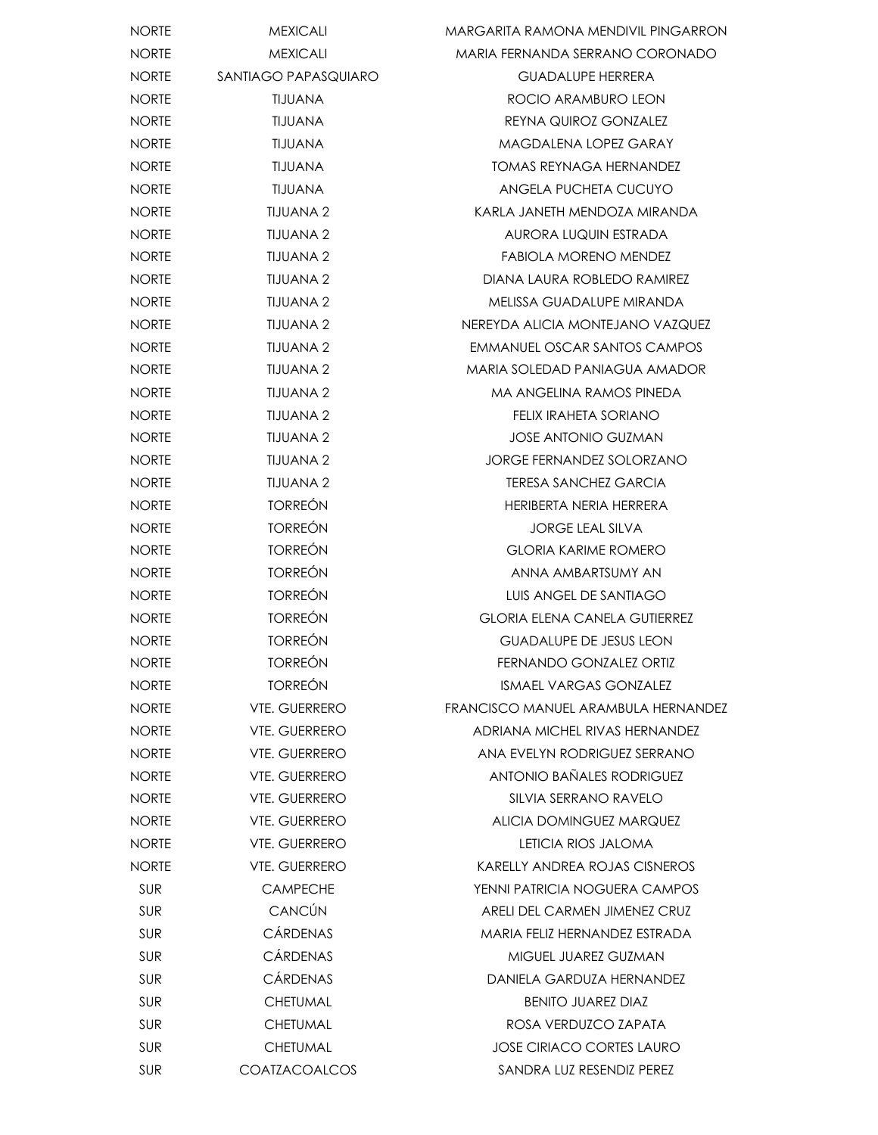| <b>NORTE</b> | <b>MEXICALI</b>      | MARGARITA RAMONA MENDIVIL PINGARRON  |
|--------------|----------------------|--------------------------------------|
| <b>NORTE</b> | <b>MEXICALI</b>      | MARIA FERNANDA SERRANO CORONADO      |
| <b>NORTE</b> | SANTIAGO PAPASQUIARO | <b>GUADALUPE HERRERA</b>             |
| <b>NORTE</b> | TIJUANA              | ROCIO ARAMBURO LEON                  |
| <b>NORTE</b> | TIJUANA              | REYNA QUIROZ GONZALEZ                |
| <b>NORTE</b> | <b>TIJUANA</b>       | MAGDALENA LOPEZ GARAY                |
| <b>NORTE</b> | TIJUANA              | <b>TOMAS REYNAGA HERNANDEZ</b>       |
| <b>NORTE</b> | TIJUANA              | ANGELA PUCHETA CUCUYO                |
| <b>NORTE</b> | <b>TIJUANA 2</b>     | KARLA JANETH MENDOZA MIRANDA         |
| <b>NORTE</b> | <b>TIJUANA 2</b>     | AURORA LUQUIN ESTRADA                |
| <b>NORTE</b> | TIJUANA 2            | FABIOLA MORENO MENDEZ                |
| <b>NORTE</b> | TIJUANA 2            | DIANA LAURA ROBLEDO RAMIREZ          |
| <b>NORTE</b> | <b>TIJUANA 2</b>     | MELISSA GUADALUPE MIRANDA            |
| <b>NORTE</b> | TIJUANA 2            | NEREYDA ALICIA MONTEJANO VAZQUEZ     |
| <b>NORTE</b> | <b>TIJUANA 2</b>     | EMMANUEL OSCAR SANTOS CAMPOS         |
| <b>NORTE</b> | TIJUANA 2            | MARIA SOLEDAD PANIAGUA AMADOR        |
| <b>NORTE</b> | <b>TIJUANA 2</b>     | MA ANGELINA RAMOS PINEDA             |
| <b>NORTE</b> | <b>TIJUANA 2</b>     | FELIX IRAHETA SORIANO                |
| <b>NORTE</b> | <b>TIJUANA 2</b>     | <b>JOSE ANTONIO GUZMAN</b>           |
| <b>NORTE</b> | <b>TIJUANA 2</b>     | <b>JORGE FERNANDEZ SOLORZANO</b>     |
| <b>NORTE</b> | <b>TIJUANA 2</b>     | TERESA SANCHEZ GARCIA                |
| <b>NORTE</b> | <b>TORREÓN</b>       | HERIBERTA NERIA HERRERA              |
| <b>NORTE</b> | <b>TORREÓN</b>       | <b>JORGE LEAL SILVA</b>              |
| <b>NORTE</b> | <b>TORREÓN</b>       | <b>GLORIA KARIME ROMERO</b>          |
| <b>NORTE</b> | <b>TORREÓN</b>       | ANNA AMBARTSUMY AN                   |
| <b>NORTE</b> | <b>TORREÓN</b>       | LUIS ANGEL DE SANTIAGO               |
| <b>NORTE</b> | <b>TORREÓN</b>       | <b>GLORIA ELENA CANELA GUTIERREZ</b> |
| <b>NORTE</b> | <b>TORREÓN</b>       | <b>GUADALUPE DE JESUS LEON</b>       |
| <b>NORTE</b> | <b>TORREÓN</b>       | FERNANDO GONZALEZ ORTIZ              |
| <b>NORTE</b> | <b>TORREÓN</b>       | <b>ISMAEL VARGAS GONZALEZ</b>        |
| <b>NORTE</b> | <b>VTE, GUERRERO</b> | FRANCISCO MANUEL ARAMBULA HERNANDEZ  |
| <b>NORTE</b> | <b>VTE. GUERRERO</b> | ADRIANA MICHEL RIVAS HERNANDEZ       |
| <b>NORTE</b> | <b>VTE. GUERRERO</b> | ANA EVELYN RODRIGUEZ SERRANO         |
| <b>NORTE</b> | <b>VTE. GUERRERO</b> | <b>ANTONIO BAÑALES RODRIGUEZ</b>     |
| <b>NORTE</b> | <b>VTE. GUERRERO</b> | SILVIA SERRANO RAVELO                |
| <b>NORTE</b> | <b>VTE. GUERRERO</b> | ALICIA DOMINGUEZ MARQUEZ             |
| <b>NORTE</b> | <b>VTE. GUERRERO</b> | LETICIA RIOS JALOMA                  |
| <b>NORTE</b> | <b>VTE. GUERRERO</b> | <b>KARELLY ANDREA ROJAS CISNEROS</b> |
| SUR          | <b>CAMPECHE</b>      | YENNI PATRICIA NOGUERA CAMPOS        |
| <b>SUR</b>   | CANCÚN               | ARELI DEL CARMEN JIMENEZ CRUZ        |
| <b>SUR</b>   | <b>CÁRDENAS</b>      | MARIA FELIZ HERNANDEZ ESTRADA        |
| <b>SUR</b>   | <b>CÁRDENAS</b>      | MIGUEL JUAREZ GUZMAN                 |
| <b>SUR</b>   | <b>CÁRDENAS</b>      | DANIELA GARDUZA HERNANDEZ            |
| <b>SUR</b>   | <b>CHETUMAL</b>      | <b>BENITO JUAREZ DIAZ</b>            |
| <b>SUR</b>   | <b>CHETUMAL</b>      | ROSA VERDUZCO ZAPATA                 |
| <b>SUR</b>   | <b>CHETUMAL</b>      | <b>JOSE CIRIACO CORTES LAURO</b>     |
| <b>SUR</b>   | <b>COATZACOALCOS</b> | SANDRA LUZ RESENDIZ PEREZ            |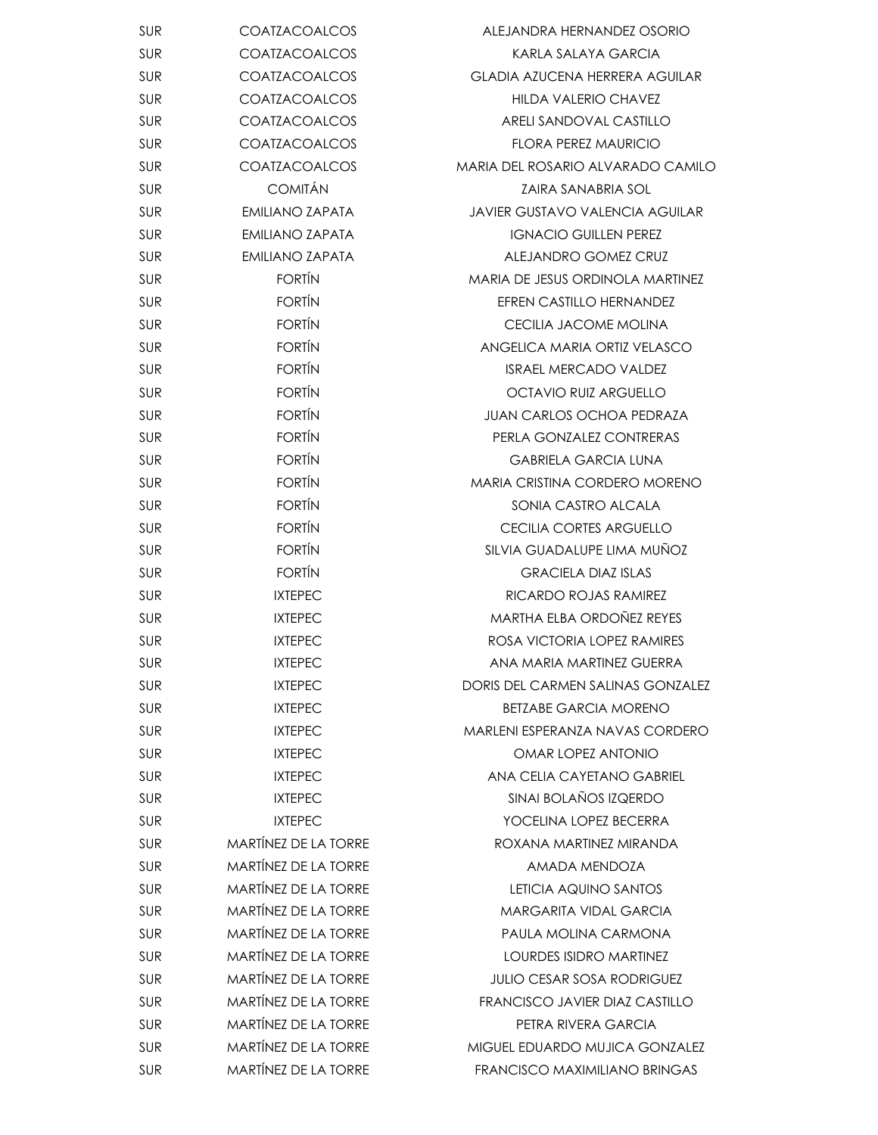| <b>SUR</b> | <b>COATZACOALCOS</b>        | ALEJANDRA HERNANDEZ OSORIO             |
|------------|-----------------------------|----------------------------------------|
| SUR        | <b>COATZACOALCOS</b>        | KARLA SALAYA GARCIA                    |
| SUR        | COATZACOALCOS               | GLADIA AZUCENA HERRERA AGUILAR         |
| SUR        | COATZACOALCOS               | <b>HILDA VALERIO CHAVEZ</b>            |
| <b>SUR</b> | <b>COATZACOALCOS</b>        | ARELI SANDOVAL CASTILLO                |
| SUR        | COATZACOALCOS               | <b>FLORA PEREZ MAURICIO</b>            |
| SUR        | <b>COATZACOALCOS</b>        | MARIA DEL ROSARIO ALVARADO CAMILO      |
| <b>SUR</b> | <b>COMITÁN</b>              | <b>ZAIRA SANABRIA SOL</b>              |
| SUR        | <b>EMILIANO ZAPATA</b>      | <b>JAVIER GUSTAVO VALENCIA AGUILAR</b> |
| SUR        | <b>EMILIANO ZAPATA</b>      | <b>IGNACIO GUILLEN PEREZ</b>           |
| SUR        | <b>EMILIANO ZAPATA</b>      | ALEJANDRO GOMEZ CRUZ                   |
| <b>SUR</b> | <b>FORTÍN</b>               | MARIA DE JESUS ORDINOLA MARTINEZ       |
| <b>SUR</b> | <b>FORTÍN</b>               | EFREN CASTILLO HERNANDEZ               |
| SUR        | <b>FORTÍN</b>               | CECILIA JACOME MOLINA                  |
| SUR        | <b>FORTÍN</b>               | ANGELICA MARIA ORTIZ VELASCO           |
| <b>SUR</b> | <b>FORTÍN</b>               | <b>ISRAEL MERCADO VALDEZ</b>           |
| SUR        | <b>FORTÍN</b>               | <b>OCTAVIO RUIZ ARGUELLO</b>           |
| SUR        | <b>FORTÍN</b>               | <b>JUAN CARLOS OCHOA PEDRAZA</b>       |
| SUR        | <b>FORTÍN</b>               | PERLA GONZALEZ CONTRERAS               |
| SUR        | <b>FORTÍN</b>               | <b>GABRIELA GARCIA LUNA</b>            |
| <b>SUR</b> | <b>FORTÍN</b>               | <b>MARIA CRISTINA CORDERO MORENO</b>   |
| SUR        | <b>FORTÍN</b>               | SONIA CASTRO ALCALA                    |
| SUR        | <b>FORTÍN</b>               | <b>CECILIA CORTES ARGUELLO</b>         |
| <b>SUR</b> | <b>FORTÍN</b>               | SILVIA GUADALUPE LIMA MUÑOZ            |
| SUR        | <b>FORTÍN</b>               | <b>GRACIELA DIAZ ISLAS</b>             |
| SUR        | <b>IXTEPEC</b>              | RICARDO ROJAS RAMIREZ                  |
| SUR        | <b>IXTEPEC</b>              | MARTHA ELBA ORDOÑEZ REYES              |
| SUR        | <b>IXTEPEC</b>              | ROSA VICTORIA LOPEZ RAMIRES            |
| <b>SUR</b> | <b>IXTEPEC</b>              | ANA MARIA MARTINEZ GUERRA              |
| <b>SUR</b> | <b>IXTEPEC</b>              | DORIS DEL CARMEN SALINAS GONZALEZ      |
| <b>SUR</b> | <b>IXTEPEC</b>              | <b>BETZABE GARCIA MORENO</b>           |
| <b>SUR</b> | <b>IXTEPEC</b>              | MARLENI ESPERANZA NAVAS CORDERO        |
| <b>SUR</b> | <b>IXTEPEC</b>              | OMAR LOPEZ ANTONIO                     |
| <b>SUR</b> | <b>IXTEPEC</b>              | ANA CELIA CAYETANO GABRIEL             |
| <b>SUR</b> | <b>IXTEPEC</b>              | SINAI BOI AÑOS IZQERDO                 |
| <b>SUR</b> | <b>IXTEPEC</b>              | YOCELINA LOPEZ BECERRA                 |
| <b>SUR</b> | <b>MARTÍNEZ DE LA TORRE</b> | ROXANA MARTINEZ MIRANDA                |
| <b>SUR</b> | <b>MARTÍNEZ DE LA TORRE</b> | AMADA MENDOZA                          |
| <b>SUR</b> | <b>MARTÍNEZ DE LA TORRE</b> | LETICIA AQUINO SANTOS                  |
| <b>SUR</b> | <b>MARTÍNEZ DE LA TORRE</b> | <b>MARGARITA VIDAL GARCIA</b>          |
| <b>SUR</b> | <b>MARTÍNEZ DE LA TORRE</b> | PAULA MOLINA CARMONA                   |
| <b>SUR</b> | <b>MARTÍNEZ DE LA TORRE</b> | <b>LOURDES ISIDRO MARTINEZ</b>         |
| <b>SUR</b> | <b>MARTÍNEZ DE LA TORRE</b> | <b>JULIO CESAR SOSA RODRIGUEZ</b>      |
| <b>SUR</b> | <b>MARTÍNEZ DE LA TORRE</b> | FRANCISCO JAVIER DIAZ CASTILLO         |
| <b>SUR</b> | <b>MARTÍNEZ DE LA TORRE</b> | PETRA RIVERA GARCIA                    |
| <b>SUR</b> | MARTÍNEZ DE LA TORRE        | MIGUEL EDUARDO MUJICA GONZALEZ         |
| <b>SUR</b> | MARTÍNEZ DE LA TORRE        | FRANCISCO MAXIMILIANO BRINGAS          |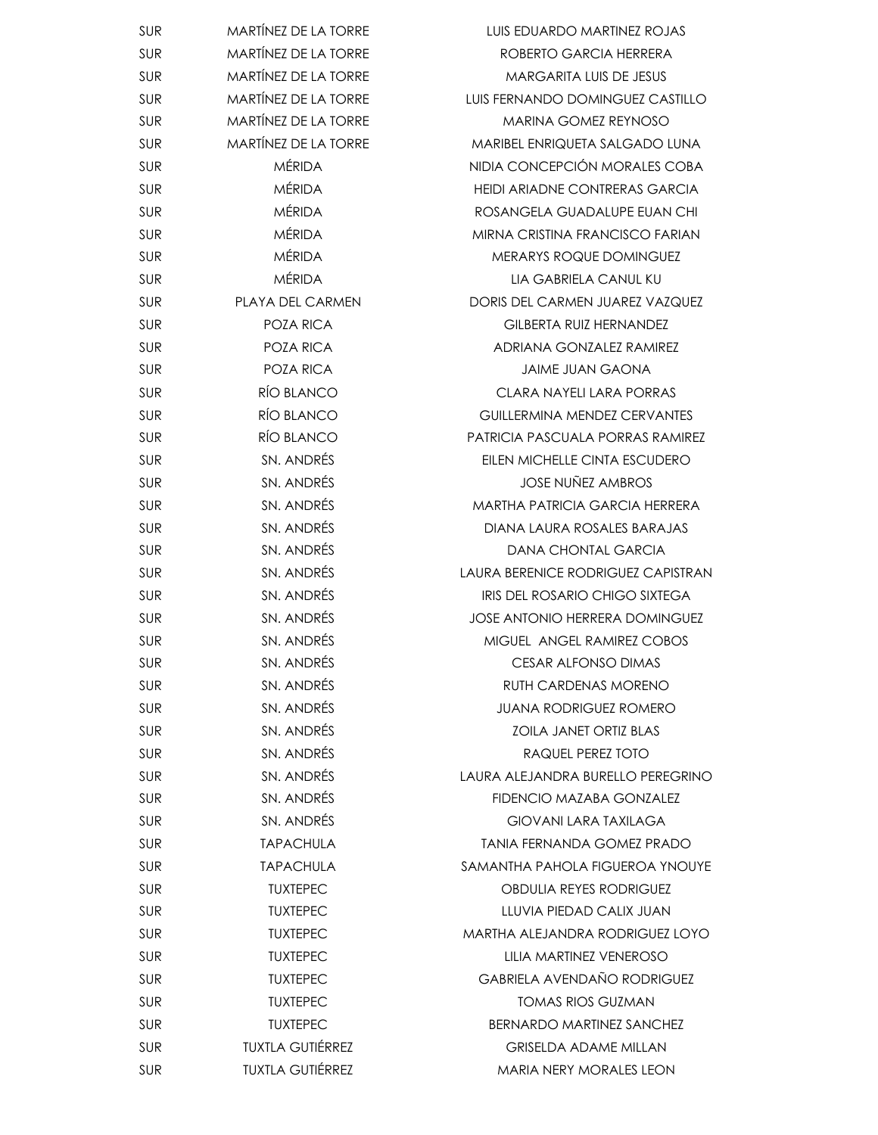| <b>SUR</b> | <b>MARTINEZ DE LA TORRE</b> | <b>LUIS EDUARDO MARTINEZ ROJAS</b>      |
|------------|-----------------------------|-----------------------------------------|
| SUR        | <b>MARTÍNEZ DE LA TORRE</b> | ROBERTO GARCIA HERRERA                  |
| <b>SUR</b> | <b>MARTÍNEZ DE LA TORRE</b> | <b>MARGARITA LUIS DE JESUS</b>          |
| <b>SUR</b> | <b>MARTÍNEZ DE LA TORRE</b> | LUIS FERNANDO DOMINGUEZ CASTILLO        |
| <b>SUR</b> | <b>MARTÍNEZ DE LA TORRE</b> | <b>MARINA GOMEZ REYNOSO</b>             |
| <b>SUR</b> | <b>MARTÍNEZ DE LA TORRE</b> | MARIBEL ENRIQUETA SALGADO LUNA          |
| <b>SUR</b> | <b>MÉRIDA</b>               | NIDIA CONCEPCIÓN MORALES COBA           |
| <b>SUR</b> | <b>MÉRIDA</b>               | HEIDI ARIADNE CONTRERAS GARCIA          |
| SUR        | <b>MÉRIDA</b>               | ROSANGELA GUADALUPE EUAN CHI            |
| SUR        | <b>MÉRIDA</b>               | MIRNA CRISTINA FRANCISCO FARIAN         |
| <b>SUR</b> | <b>MÉRIDA</b>               | MERARYS ROQUE DOMINGUEZ                 |
| <b>SUR</b> | <b>MÉRIDA</b>               | LIA GABRIELA CANUL KU                   |
| <b>SUR</b> | PLAYA DEL CARMEN            | DORIS DEL CARMEN JUAREZ VAZQUEZ         |
| <b>SUR</b> | POZA RICA                   | <b>GILBERTA RUIZ HERNANDEZ</b>          |
| <b>SUR</b> | POZA RICA                   | ADRIANA GONZALEZ RAMIREZ                |
| SUR        | POZA RICA                   | <b>JAIME JUAN GAONA</b>                 |
| <b>SUR</b> | RÍO BLANCO                  | CLARA NAYELI LARA PORRAS                |
| <b>SUR</b> | RÍO BLANCO                  | <b>GUILLERMINA MENDEZ CERVANTES</b>     |
| <b>SUR</b> | RÍO BLANCO                  | <b>PATRICIA PASCUALA PORRAS RAMIREZ</b> |
| <b>SUR</b> | SN. ANDRÉS                  | EILEN MICHELLE CINTA ESCUDERO           |
| <b>SUR</b> | SN. ANDRÉS                  | <b>JOSE NUNEZ AMBROS</b>                |
| <b>SUR</b> | SN. ANDRÉS                  | MARTHA PATRICIA GARCIA HERRERA          |
| <b>SUR</b> | SN. ANDRÉS                  | DIANA LAURA ROSALES BARAJAS             |
| <b>SUR</b> | SN. ANDRÉS                  | <b>DANA CHONTAL GARCIA</b>              |
| <b>SUR</b> | SN. ANDRÉS                  | LAURA BERENICE RODRIGUEZ CAPISTRAN      |
| SUR        | SN. ANDRÉS                  | <b>IRIS DEL ROSARIO CHIGO SIXTEGA</b>   |
| <b>SUR</b> | SN. ANDRÉS                  | <b>JOSE ANTONIO HERRERA DOMINGUEZ</b>   |
| SUR        | SN. ANDRÉS                  | MIGUEL ANGEL RAMIREZ COBOS              |
| <b>SUR</b> | SN. ANDRÉS                  | <b>CESAR ALFONSO DIMAS</b>              |
| <b>SUR</b> | SN. ANDRÉS                  | <b>RUTH CARDENAS MORENO</b>             |
| <b>SUR</b> | SN. ANDRÉS                  | <b>JUANA RODRIGUEZ ROMERO</b>           |
| <b>SUR</b> | SN. ANDRÉS                  | <b>ZOILA JANET ORTIZ BLAS</b>           |
| <b>SUR</b> | SN. ANDRÉS                  | RAQUEL PEREZ TOTO                       |
| SUR        | SN. ANDRÉS                  | LAURA ALEJANDRA BURELLO PEREGRINO       |
| <b>SUR</b> | SN. ANDRÉS                  | FIDENCIO MAZABA GONZALEZ                |
| <b>SUR</b> | SN. ANDRÉS                  | <b>GIOVANI LARA TAXILAGA</b>            |
| <b>SUR</b> | <b>TAPACHULA</b>            | <b>TANIA FERNANDA GOMEZ PRADO</b>       |
| <b>SUR</b> | <b>TAPACHULA</b>            | SAMANTHA PAHOLA FIGUEROA YNOUYE         |
| <b>SUR</b> | <b>TUXTEPEC</b>             | <b>OBDULIA REYES RODRIGUEZ</b>          |
| <b>SUR</b> | <b>TUXTEPEC</b>             | LLUVIA PIEDAD CALIX JUAN                |
| <b>SUR</b> | <b>TUXTEPEC</b>             | MARTHA ALEJANDRA RODRIGUEZ LOYO         |
| <b>SUR</b> | <b>TUXTEPEC</b>             | LILIA MARTINEZ VENEROSO                 |
| <b>SUR</b> | <b>TUXTEPEC</b>             | <b>GABRIELA AVENDAÑO RODRIGUEZ</b>      |
| SUR        | <b>TUXTEPEC</b>             | <b>TOMAS RIOS GUZMAN</b>                |
| <b>SUR</b> | <b>TUXTEPEC</b>             | BERNARDO MARTINEZ SANCHEZ               |
| <b>SUR</b> | <b>TUXTLA GUTIÉRREZ</b>     | <b>GRISELDA ADAME MILLAN</b>            |
| <b>SUR</b> | <b>TUXTLA GUTIÉRREZ</b>     | <b>MARIA NERY MORALES LEON</b>          |